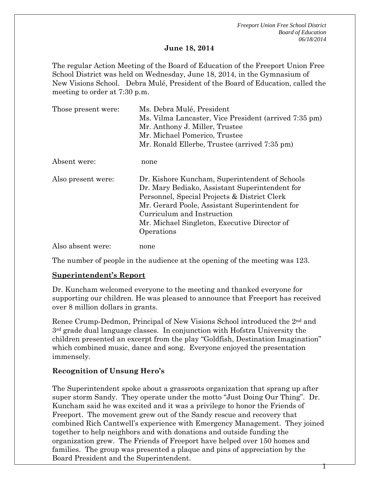1

#### **June 18, 2014**

The regular Action Meeting of the Board of Education of the Freeport Union Free School District was held on Wednesday, June 18, 2014, in the Gymnasium of New Visions School. Debra Mulé, President of the Board of Education, called the meeting to order at 7:30 p.m.

| Those present were: | Ms. Debra Mulé, President<br>Ms. Vilma Lancaster, Vice President (arrived 7:35 pm)<br>Mr. Anthony J. Miller, Trustee<br>Mr. Michael Pomerico, Trustee                                                                                                                                          |  |
|---------------------|------------------------------------------------------------------------------------------------------------------------------------------------------------------------------------------------------------------------------------------------------------------------------------------------|--|
|                     | Mr. Ronald Ellerbe, Trustee (arrived 7:35 pm)                                                                                                                                                                                                                                                  |  |
| Absent were:        | none                                                                                                                                                                                                                                                                                           |  |
| Also present were:  | Dr. Kishore Kuncham, Superintendent of Schools<br>Dr. Mary Bediako, Assistant Superintendent for<br>Personnel, Special Projects & District Clerk<br>Mr. Gerard Poole, Assistant Superintendent for<br>Curriculum and Instruction<br>Mr. Michael Singleton, Executive Director of<br>Operations |  |
| Also absent were:   | none                                                                                                                                                                                                                                                                                           |  |

The number of people in the audience at the opening of the meeting was 123.

#### **Superintendent's Report**

Dr. Kuncham welcomed everyone to the meeting and thanked everyone for supporting our children. He was pleased to announce that Freeport has received over 8 million dollars in grants.

Renee Crump-Dedmon, Principal of New Visions School introduced the 2nd and 3rd grade dual language classes. In conjunction with Hofstra University the children presented an excerpt from the play "Goldfish, Destination Imagination" which combined music, dance and song. Everyone enjoyed the presentation immensely.

#### **Recognition of Unsung Hero's**

The Superintendent spoke about a grassroots organization that sprang up after super storm Sandy. They operate under the motto "Just Doing Our Thing". Dr. Kuncham said he was excited and it was a privilege to honor the Friends of Freeport. The movement grew out of the Sandy rescue and recovery that combined Rich Cantwell's experience with Emergency Management. They joined together to help neighbors and with donations and outside funding the organization grew. The Friends of Freeport have helped over 150 homes and families. The group was presented a plaque and pins of appreciation by the Board President and the Superintendent.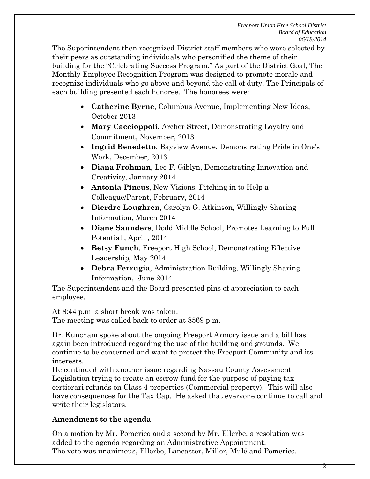The Superintendent then recognized District staff members who were selected by their peers as outstanding individuals who personified the theme of their building for the "Celebrating Success Program." As part of the District Goal, The Monthly Employee Recognition Program was designed to promote morale and recognize individuals who go above and beyond the call of duty. The Principals of each building presented each honoree. The honorees were:

- **Catherine Byrne**, Columbus Avenue, Implementing New Ideas, October 2013
- **Mary Caccioppoli**, Archer Street, Demonstrating Loyalty and Commitment, November, 2013
- **Ingrid Benedetto**, Bayview Avenue, Demonstrating Pride in One's Work, December, 2013
- **Diana Frohman**, Leo F. Giblyn, Demonstrating Innovation and Creativity, January 2014
- **Antonia Pincus**, New Visions, Pitching in to Help a Colleague/Parent, February, 2014
- **Dierdre Loughren**, Carolyn G. Atkinson, Willingly Sharing Information, March 2014
- **Diane Saunders**, Dodd Middle School, Promotes Learning to Full Potential , April , 2014
- **Betsy Funch**, Freeport High School, Demonstrating Effective Leadership, May 2014
- **Debra Ferrugia**, Administration Building, Willingly Sharing Information, June 2014

The Superintendent and the Board presented pins of appreciation to each employee.

At 8:44 p.m. a short break was taken.

The meeting was called back to order at 8569 p.m.

Dr. Kuncham spoke about the ongoing Freeport Armory issue and a bill has again been introduced regarding the use of the building and grounds. We continue to be concerned and want to protect the Freeport Community and its interests.

He continued with another issue regarding Nassau County Assessment Legislation trying to create an escrow fund for the purpose of paying tax certiorari refunds on Class 4 properties (Commercial property). This will also have consequences for the Tax Cap. He asked that everyone continue to call and write their legislators.

# **Amendment to the agenda**

On a motion by Mr. Pomerico and a second by Mr. Ellerbe, a resolution was added to the agenda regarding an Administrative Appointment. The vote was unanimous, Ellerbe, Lancaster, Miller, Mulé and Pomerico.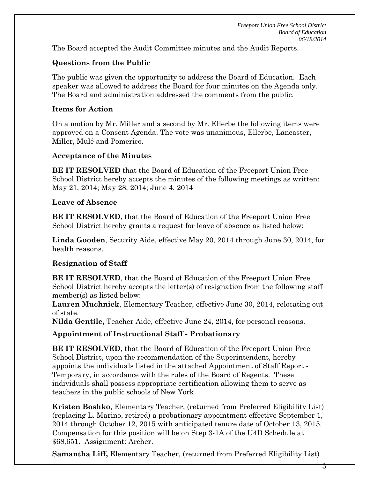The Board accepted the Audit Committee minutes and the Audit Reports.

# **Questions from the Public**

The public was given the opportunity to address the Board of Education. Each speaker was allowed to address the Board for four minutes on the Agenda only. The Board and administration addressed the comments from the public.

#### **Items for Action**

On a motion by Mr. Miller and a second by Mr. Ellerbe the following items were approved on a Consent Agenda. The vote was unanimous, Ellerbe, Lancaster, Miller, Mulé and Pomerico.

#### **Acceptance of the Minutes**

**BE IT RESOLVED** that the Board of Education of the Freeport Union Free School District hereby accepts the minutes of the following meetings as written: May 21, 2014; May 28, 2014; June 4, 2014

#### **Leave of Absence**

**BE IT RESOLVED**, that the Board of Education of the Freeport Union Free School District hereby grants a request for leave of absence as listed below:

**Linda Gooden**, Security Aide, effective May 20, 2014 through June 30, 2014, for health reasons.

## **Resignation of Staff**

**BE IT RESOLVED**, that the Board of Education of the Freeport Union Free School District hereby accepts the letter(s) of resignation from the following staff member(s) as listed below:

**Lauren Muchnick**, Elementary Teacher, effective June 30, 2014, relocating out of state.

**Nilda Gentile,** Teacher Aide, effective June 24, 2014, for personal reasons.

## **Appointment of Instructional Staff - Probationary**

**BE IT RESOLVED**, that the Board of Education of the Freeport Union Free School District, upon the recommendation of the Superintendent, hereby appoints the individuals listed in the attached Appointment of Staff Report - Temporary, in accordance with the rules of the Board of Regents. These individuals shall possess appropriate certification allowing them to serve as teachers in the public schools of New York.

**Kristen Boshko**, Elementary Teacher, (returned from Preferred Eligibility List) (replacing L. Marino, retired) a probationary appointment effective September 1, 2014 through October 12, 2015 with anticipated tenure date of October 13, 2015. Compensation for this position will be on Step 3-1A of the U4D Schedule at \$68,651. Assignment: Archer.

**Samantha Liff,** Elementary Teacher, (returned from Preferred Eligibility List)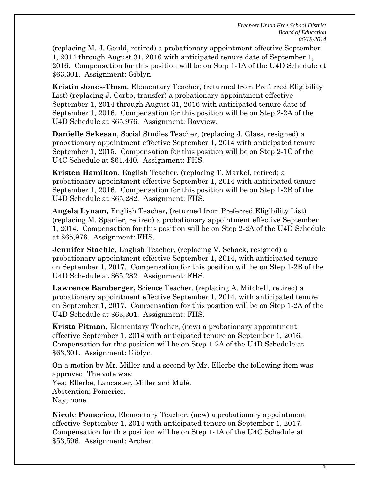(replacing M. J. Gould, retired) a probationary appointment effective September 1, 2014 through August 31, 2016 with anticipated tenure date of September 1, 2016. Compensation for this position will be on Step 1-1A of the U4D Schedule at \$63,301. Assignment: Giblyn.

**Kristin Jones-Thom**, Elementary Teacher, (returned from Preferred Eligibility List) (replacing J. Corbo, transfer) a probationary appointment effective September 1, 2014 through August 31, 2016 with anticipated tenure date of September 1, 2016. Compensation for this position will be on Step 2-2A of the U4D Schedule at \$65,976. Assignment: Bayview.

**Danielle Sekesan**, Social Studies Teacher, (replacing J. Glass, resigned) a probationary appointment effective September 1, 2014 with anticipated tenure September 1, 2015. Compensation for this position will be on Step 2-1C of the U4C Schedule at \$61,440. Assignment: FHS.

**Kristen Hamilton**, English Teacher, (replacing T. Markel, retired) a probationary appointment effective September 1, 2014 with anticipated tenure September 1, 2016. Compensation for this position will be on Step 1-2B of the U4D Schedule at \$65,282. Assignment: FHS.

**Angela Lynam,** English Teacher**,** (returned from Preferred Eligibility List) (replacing M. Spanier, retired) a probationary appointment effective September 1, 2014. Compensation for this position will be on Step 2-2A of the U4D Schedule at \$65,976. Assignment: FHS.

**Jennifer Staehle,** English Teacher, (replacing V. Schack, resigned) a probationary appointment effective September 1, 2014, with anticipated tenure on September 1, 2017. Compensation for this position will be on Step 1-2B of the U4D Schedule at \$65,282. Assignment: FHS.

**Lawrence Bamberger,** Science Teacher, (replacing A. Mitchell, retired) a probationary appointment effective September 1, 2014, with anticipated tenure on September 1, 2017. Compensation for this position will be on Step 1-2A of the U4D Schedule at \$63,301. Assignment: FHS.

**Krista Pitman,** Elementary Teacher, (new) a probationary appointment effective September 1, 2014 with anticipated tenure on September 1, 2016. Compensation for this position will be on Step 1-2A of the U4D Schedule at \$63,301. Assignment: Giblyn.

On a motion by Mr. Miller and a second by Mr. Ellerbe the following item was approved. The vote was; Yea; Ellerbe, Lancaster, Miller and Mulé. Abstention; Pomerico. Nay; none.

**Nicole Pomerico,** Elementary Teacher, (new) a probationary appointment effective September 1, 2014 with anticipated tenure on September 1, 2017. Compensation for this position will be on Step 1-1A of the U4C Schedule at \$53,596. Assignment: Archer.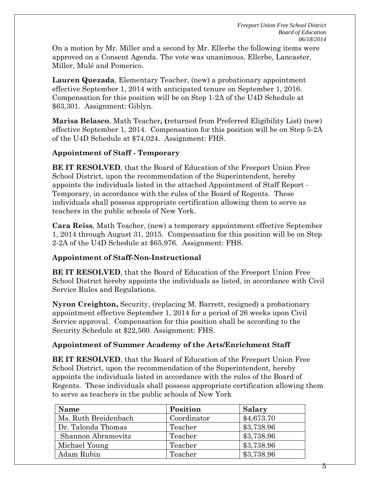On a motion by Mr. Miller and a second by Mr. Ellerbe the following items were approved on a Consent Agenda. The vote was unanimous, Ellerbe, Lancaster, Miller, Mulé and Pomerico.

**Lauren Quezada**, Elementary Teacher, (new) a probationary appointment effective September 1, 2014 with anticipated tenure on September 1, 2016. Compensation for this position will be on Step 1-2A of the U4D Schedule at \$63,301. Assignment: Giblyn.

**Marisa Belasco**, Math Teacher**, (**returned from Preferred Eligibility List) (new) effective September 1, 2014. Compensation for this position will be on Step 5-2A of the U4D Schedule at \$74,024. Assignment: FHS.

## **Appointment of Staff - Temporary**

**BE IT RESOLVED**, that the Board of Education of the Freeport Union Free School District, upon the recommendation of the Superintendent, hereby appoints the individuals listed in the attached Appointment of Staff Report - Temporary, in accordance with the rules of the Board of Regents. These individuals shall possess appropriate certification allowing them to serve as teachers in the public schools of New York.

**Cara Reiss**, Math Teacher, (new) a temporary appointment effective September 1, 2014 through August 31, 2015. Compensation for this position will be on Step 2-2A of the U4D Schedule at \$65,976. Assignment: FHS.

## **Appointment of Staff-Non-Instructional**

**BE IT RESOLVED**, that the Board of Education of the Freeport Union Free School District hereby appoints the individuals as listed, in accordance with Civil Service Rules and Regulations.

**Nyron Creighton,** Security, (replacing M. Barrett, resigned) a probationary appointment effective September 1, 2014 for a period of 26 weeks upon Civil Service approval. Compensation for this position shall be according to the Security Schedule at \$22,560. Assignment: FHS.

## **Appointment of Summer Academy of the Arts/Enrichment Staff**

**BE IT RESOLVED**, that the Board of Education of the Freeport Union Free School District, upon the recommendation of the Superintendent, hereby appoints the individuals listed in accordance with the rules of the Board of Regents. These individuals shall possess appropriate certification allowing them to serve as teachers in the public schools of New York

| Name                 | Position    | <b>Salary</b> |
|----------------------|-------------|---------------|
| Ms. Ruth Breidenbach | Coordinator | \$4,673.70    |
| Dr. Talonda Thomas   | Teacher     | \$3,738.96    |
| Shannon Abramovitz   | Teacher     | \$3,738.96    |
| Michael Young        | Teacher     | \$3,738.96    |
| Adam Rubin           | Teacher     | \$3,738.96    |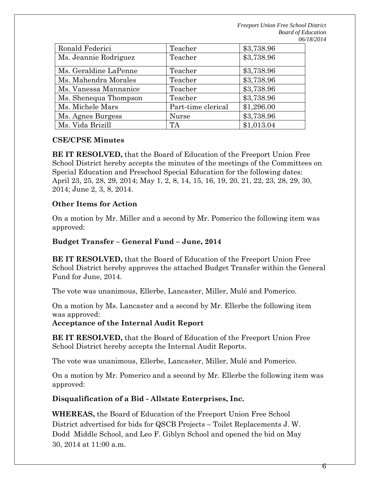| Ronald Federici       | Teacher            | \$3,738.96 |
|-----------------------|--------------------|------------|
| Ms. Jeannie Rodriguez | Teacher            | \$3,738.96 |
| Ms. Geraldine LaPenne | Teacher            | \$3,738.96 |
| Ms. Mahendra Morales  | Teacher            | \$3,738.96 |
| Ms. Vanessa Mannanice | Teacher            | \$3,738.96 |
| Ms. Shenequa Thompson | Teacher            | \$3,738.96 |
| Ms. Michele Mars      | Part-time clerical | \$1,296.00 |
| Ms. Agnes Burgess     | <b>Nurse</b>       | \$3,738.96 |
| Ms. Vida Brizill      | TA                 | \$1,013.04 |

#### **CSE/CPSE Minutes**

**BE IT RESOLVED,** that the Board of Education of the Freeport Union Free School District hereby accepts the minutes of the meetings of the Committees on Special Education and Preschool Special Education for the following dates: April 23, 25, 28, 29, 2014; May 1, 2, 8, 14, 15, 16, 19, 20, 21, 22, 23, 28, 29, 30, 2014; June 2, 3, 8, 2014.

#### **Other Items for Action**

On a motion by Mr. Miller and a second by Mr. Pomerico the following item was approved:

#### **Budget Transfer – General Fund – June, 2014**

**BE IT RESOLVED,** that the Board of Education of the Freeport Union Free School District hereby approves the attached Budget Transfer within the General Fund for June, 2014.

The vote was unanimous, Ellerbe, Lancaster, Miller, Mulé and Pomerico.

On a motion by Ms. Lancaster and a second by Mr. Ellerbe the following item was approved:

**Acceptance of the Internal Audit Report**

**BE IT RESOLVED,** that the Board of Education of the Freeport Union Free School District hereby accepts the Internal Audit Reports.

The vote was unanimous, Ellerbe, Lancaster, Miller, Mulé and Pomerico.

On a motion by Mr. Pomerico and a second by Mr. Ellerbe the following item was approved:

**Disqualification of a Bid - Allstate Enterprises, Inc.**

**WHEREAS,** the Board of Education of the Freeport Union Free School District advertised for bids for QSCB Projects – Toilet Replacements J. W. Dodd Middle School, and Leo F. Giblyn School and opened the bid on May 30, 2014 at 11:00 a.m.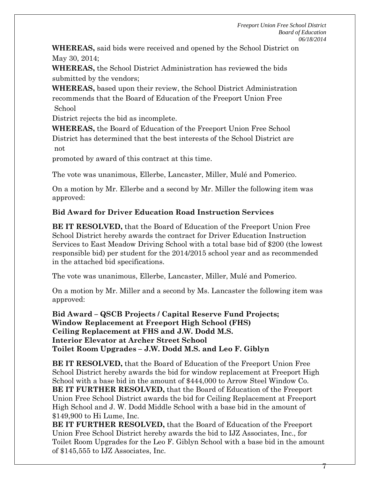**WHEREAS,** said bids were received and opened by the School District on May 30, 2014;

**WHEREAS,** the School District Administration has reviewed the bids submitted by the vendors;

**WHEREAS,** based upon their review, the School District Administration recommends that the Board of Education of the Freeport Union Free School

District rejects the bid as incomplete.

**WHEREAS,** the Board of Education of the Freeport Union Free School District has determined that the best interests of the School District are not

promoted by award of this contract at this time.

The vote was unanimous, Ellerbe, Lancaster, Miller, Mulé and Pomerico.

On a motion by Mr. Ellerbe and a second by Mr. Miller the following item was approved:

#### **Bid Award for Driver Education Road Instruction Services**

**BE IT RESOLVED,** that the Board of Education of the Freeport Union Free School District hereby awards the contract for Driver Education Instruction Services to East Meadow Driving School with a total base bid of \$200 (the lowest responsible bid) per student for the 2014/2015 school year and as recommended in the attached bid specifications.

The vote was unanimous, Ellerbe, Lancaster, Miller, Mulé and Pomerico.

On a motion by Mr. Miller and a second by Ms. Lancaster the following item was approved:

**Bid Award – QSCB Projects / Capital Reserve Fund Projects; Window Replacement at Freeport High School (FHS) Ceiling Replacement at FHS and J.W. Dodd M.S. Interior Elevator at Archer Street School Toilet Room Upgrades – J.W. Dodd M.S. and Leo F. Giblyn**

**BE IT RESOLVED,** that the Board of Education of the Freeport Union Free School District hereby awards the bid for window replacement at Freeport High School with a base bid in the amount of \$444,000 to Arrow Steel Window Co. **BE IT FURTHER RESOLVED,** that the Board of Education of the Freeport Union Free School District awards the bid for Ceiling Replacement at Freeport High School and J. W. Dodd Middle School with a base bid in the amount of \$149,900 to Hi Lume, Inc.

**BE IT FURTHER RESOLVED,** that the Board of Education of the Freeport Union Free School District hereby awards the bid to IJZ Associates, Inc., for Toilet Room Upgrades for the Leo F. Giblyn School with a base bid in the amount of \$145,555 to IJZ Associates, Inc.

 $\mathcal{L}$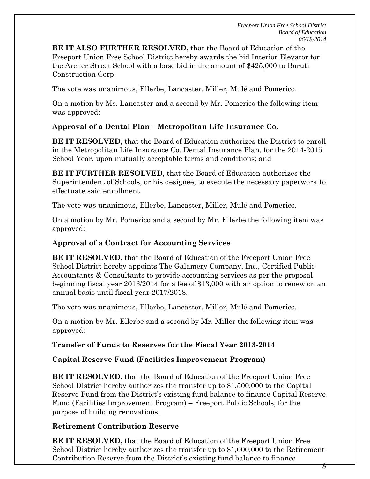**BE IT ALSO FURTHER RESOLVED,** that the Board of Education of the Freeport Union Free School District hereby awards the bid Interior Elevator for the Archer Street School with a base bid in the amount of \$425,000 to Baruti Construction Corp.

The vote was unanimous, Ellerbe, Lancaster, Miller, Mulé and Pomerico.

On a motion by Ms. Lancaster and a second by Mr. Pomerico the following item was approved:

## **Approval of a Dental Plan – Metropolitan Life Insurance Co.**

**BE IT RESOLVED**, that the Board of Education authorizes the District to enroll in the Metropolitan Life Insurance Co. Dental Insurance Plan, for the 2014-2015 School Year, upon mutually acceptable terms and conditions; and

**BE IT FURTHER RESOLVED**, that the Board of Education authorizes the Superintendent of Schools, or his designee, to execute the necessary paperwork to effectuate said enrollment.

The vote was unanimous, Ellerbe, Lancaster, Miller, Mulé and Pomerico.

On a motion by Mr. Pomerico and a second by Mr. Ellerbe the following item was approved:

## **Approval of a Contract for Accounting Services**

**BE IT RESOLVED**, that the Board of Education of the Freeport Union Free School District hereby appoints The Galamery Company, Inc., Certified Public Accountants & Consultants to provide accounting services as per the proposal beginning fiscal year 2013/2014 for a fee of \$13,000 with an option to renew on an annual basis until fiscal year 2017/2018.

The vote was unanimous, Ellerbe, Lancaster, Miller, Mulé and Pomerico.

On a motion by Mr. Ellerbe and a second by Mr. Miller the following item was approved:

## **Transfer of Funds to Reserves for the Fiscal Year 2013-2014**

## **Capital Reserve Fund (Facilities Improvement Program)**

**BE IT RESOLVED**, that the Board of Education of the Freeport Union Free School District hereby authorizes the transfer up to \$1,500,000 to the Capital Reserve Fund from the District's existing fund balance to finance Capital Reserve Fund (Facilities Improvement Program) – Freeport Public Schools, for the purpose of building renovations.

# **Retirement Contribution Reserve**

**BE IT RESOLVED,** that the Board of Education of the Freeport Union Free School District hereby authorizes the transfer up to \$1,000,000 to the Retirement Contribution Reserve from the District's existing fund balance to finance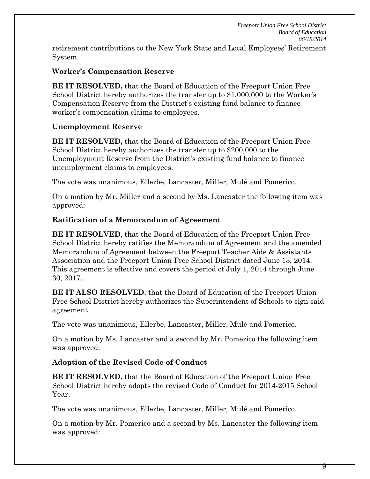retirement contributions to the New York State and Local Employees' Retirement System.

#### **Worker's Compensation Reserve**

**BE IT RESOLVED,** that the Board of Education of the Freeport Union Free School District hereby authorizes the transfer up to \$1,000,000 to the Worker's Compensation Reserve from the District's existing fund balance to finance worker's compensation claims to employees.

#### **Unemployment Reserve**

**BE IT RESOLVED,** that the Board of Education of the Freeport Union Free School District hereby authorizes the transfer up to \$200,000 to the Unemployment Reserve from the District's existing fund balance to finance unemployment claims to employees.

The vote was unanimous, Ellerbe, Lancaster, Miller, Mulé and Pomerico.

On a motion by Mr. Miller and a second by Ms. Lancaster the following item was approved:

#### **Ratification of a Memorandum of Agreement**

**BE IT RESOLVED**, that the Board of Education of the Freeport Union Free School District hereby ratifies the Memorandum of Agreement and the amended Memorandum of Agreement between the Freeport Teacher Aide & Assistants Association and the Freeport Union Free School District dated June 13, 2014. This agreement is effective and covers the period of July 1, 2014 through June 30, 2017.

**BE IT ALSO RESOLVED**, that the Board of Education of the Freeport Union Free School District hereby authorizes the Superintendent of Schools to sign said agreement.

The vote was unanimous, Ellerbe, Lancaster, Miller, Mulé and Pomerico.

On a motion by Ms. Lancaster and a second by Mr. Pomerico the following item was approved:

## **Adoption of the Revised Code of Conduct**

**BE IT RESOLVED,** that the Board of Education of the Freeport Union Free School District hereby adopts the revised Code of Conduct for 2014-2015 School Year.

The vote was unanimous, Ellerbe, Lancaster, Miller, Mulé and Pomerico.

On a motion by Mr. Pomerico and a second by Ms. Lancaster the following item was approved: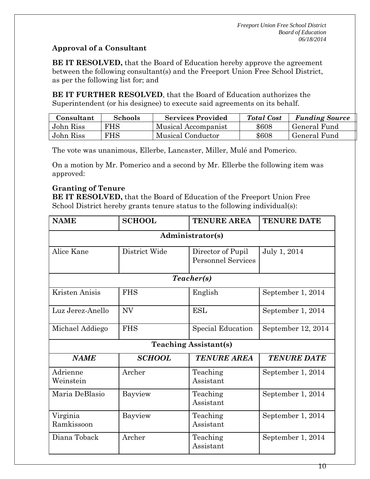# **Approval of a Consultant**

**BE IT RESOLVED,** that the Board of Education hereby approve the agreement between the following consultant(s) and the Freeport Union Free School District, as per the following list for; and

**BE IT FURTHER RESOLVED**, that the Board of Education authorizes the Superintendent (or his designee) to execute said agreements on its behalf.

| Consultant | <b>Schools</b> | <b>Services Provided</b> | <b>Total Cost</b> | <b>Funding Source</b> |
|------------|----------------|--------------------------|-------------------|-----------------------|
| John Riss  | FHS            | Musical Accompanist      | \$608             | General Fund          |
| John Riss  | FHS            | Musical Conductor        | \$608             | General Fund          |

The vote was unanimous, Ellerbe, Lancaster, Miller, Mulé and Pomerico.

On a motion by Mr. Pomerico and a second by Mr. Ellerbe the following item was approved:

## **Granting of Tenure**

**BE IT RESOLVED,** that the Board of Education of the Freeport Union Free School District hereby grants tenure status to the following individual(s):

| <b>NAME</b>                  | <b>SCHOOL</b> | <b>TENURE AREA</b>                             | <b>TENURE DATE</b> |  |
|------------------------------|---------------|------------------------------------------------|--------------------|--|
| Administrator(s)             |               |                                                |                    |  |
| Alice Kane                   | District Wide | Director of Pupil<br><b>Personnel Services</b> | July 1, 2014       |  |
|                              |               | Teacher(s)                                     |                    |  |
| Kristen Anisis               | <b>FHS</b>    | English                                        | September 1, 2014  |  |
| Luz Jerez-Anello             | <b>NV</b>     | <b>ESL</b>                                     | September 1, 2014  |  |
| Michael Addiego              | <b>FHS</b>    | Special Education                              | September 12, 2014 |  |
| <b>Teaching Assistant(s)</b> |               |                                                |                    |  |
| <b>NAME</b>                  | <b>SCHOOL</b> | <b>TENURE AREA</b>                             | <b>TENURE DATE</b> |  |
| Adrienne<br>Weinstein        | Archer        | Teaching<br>Assistant                          | September 1, 2014  |  |
| Maria DeBlasio               | Bayview       | Teaching<br>Assistant                          | September 1, 2014  |  |
| Virginia<br>Ramkissoon       | Bayview       | Teaching<br>Assistant                          | September 1, 2014  |  |
| Diana Toback                 | Archer        | Teaching<br>Assistant                          | September 1, 2014  |  |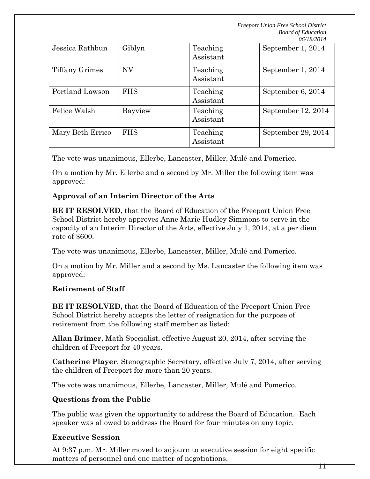| Jessica Rathbun  | Giblyn     | Teaching<br>Assistant | September 1, 2014  |
|------------------|------------|-----------------------|--------------------|
| Tiffany Grimes   | <b>NV</b>  | Teaching<br>Assistant | September 1, 2014  |
| Portland Lawson  | <b>FHS</b> | Teaching<br>Assistant | September 6, 2014  |
| Felice Walsh     | Bayview    | Teaching<br>Assistant | September 12, 2014 |
| Mary Beth Errico | <b>FHS</b> | Teaching<br>Assistant | September 29, 2014 |

The vote was unanimous, Ellerbe, Lancaster, Miller, Mulé and Pomerico.

On a motion by Mr. Ellerbe and a second by Mr. Miller the following item was approved:

## **Approval of an Interim Director of the Arts**

**BE IT RESOLVED,** that the Board of Education of the Freeport Union Free School District hereby approves Anne Marie Hudley Simmons to serve in the capacity of an Interim Director of the Arts, effective July 1, 2014, at a per diem rate of \$600.

The vote was unanimous, Ellerbe, Lancaster, Miller, Mulé and Pomerico.

On a motion by Mr. Miller and a second by Ms. Lancaster the following item was approved:

## **Retirement of Staff**

**BE IT RESOLVED,** that the Board of Education of the Freeport Union Free School District hereby accepts the letter of resignation for the purpose of retirement from the following staff member as listed:

**Allan Brimer**, Math Specialist, effective August 20, 2014, after serving the children of Freeport for 40 years.

**Catherine Player**, Stenographic Secretary, effective July 7, 2014, after serving the children of Freeport for more than 20 years.

The vote was unanimous, Ellerbe, Lancaster, Miller, Mulé and Pomerico.

## **Questions from the Public**

The public was given the opportunity to address the Board of Education. Each speaker was allowed to address the Board for four minutes on any topic.

## **Executive Session**

At 9:37 p.m. Mr. Miller moved to adjourn to executive session for eight specific matters of personnel and one matter of negotiations.